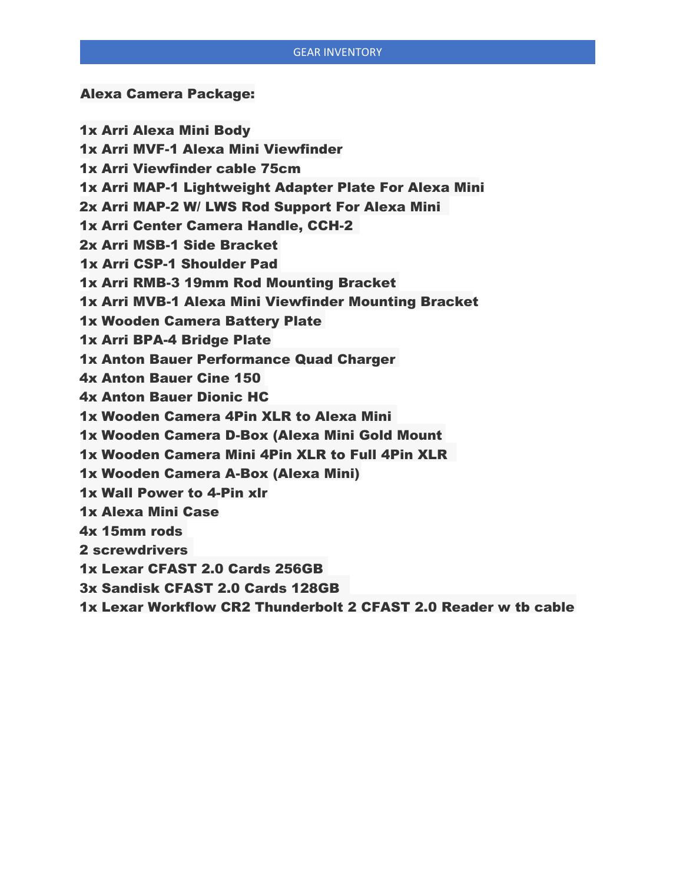#### GEAR INVENTORY

### Alexa Camera Package:

1x Arri Alexa Mini Body 1x Arri MVF-1 Alexa Mini Viewfinder 1x Arri Viewfinder cable 75cm 1x Arri MAP-1 Lightweight Adapter Plate For Alexa Mini 2x Arri MAP-2 W/ LWS Rod Support For Alexa Mini 1x Arri Center Camera Handle, CCH-2 2x Arri MSB-1 Side Bracket 1x Arri CSP-1 Shoulder Pad 1x Arri RMB-3 19mm Rod Mounting Bracket 1x Arri MVB-1 Alexa Mini Viewfinder Mounting Bracket 1x Wooden Camera Battery Plate 1x Arri BPA-4 Bridge Plate 1x Anton Bauer Performance Quad Charger 4x Anton Bauer Cine 150 4x Anton Bauer Dionic HC 1x Wooden Camera 4Pin XLR to Alexa Mini 1x Wooden Camera D-Box (Alexa Mini Gold Mount 1x Wooden Camera Mini 4Pin XLR to Full 4Pin XLR 1x Wooden Camera A-Box (Alexa Mini) 1x Wall Power to 4-Pin xlr 1x Alexa Mini Case 4x 15mm rods 2 screwdrivers 1x Lexar CFAST 2.0 Cards 256GB 3x Sandisk CFAST 2.0 Cards 128GB

1x Lexar Workflow CR2 Thunderbolt 2 CFAST 2.0 Reader w tb cable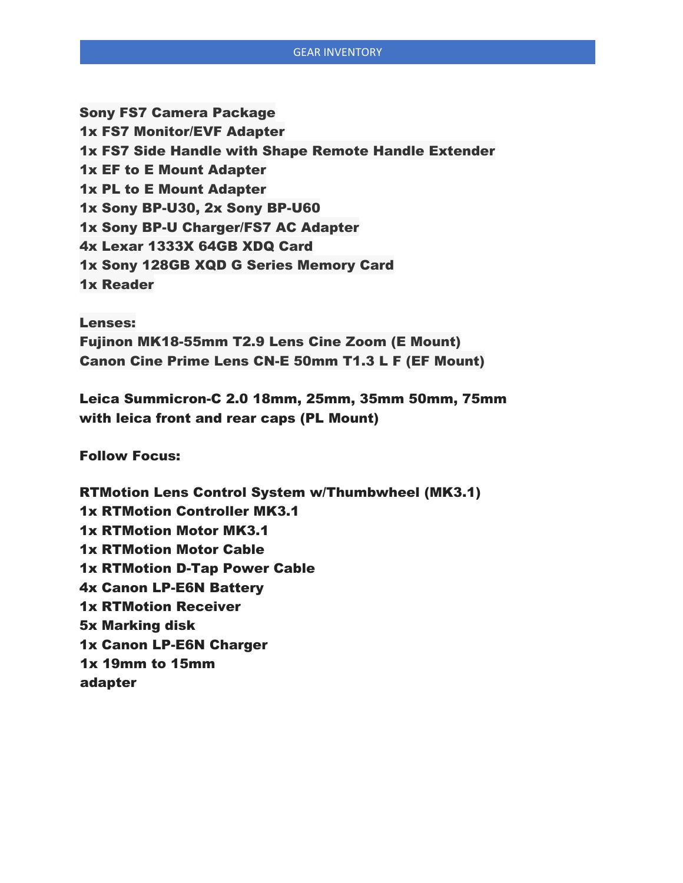Sony FS7 Camera Package 1x FS7 Monitor/EVF Adapter 1x FS7 Side Handle with Shape Remote Handle Extender 1x EF to E Mount Adapter 1x PL to E Mount Adapter 1x Sony BP-U30, 2x Sony BP-U60 1x Sony BP-U Charger/FS7 AC Adapter 4x Lexar 1333X 64GB XDQ Card 1x Sony 128GB XQD G Series Memory Card 1x Reader

Lenses: Fujinon MK18-55mm T2.9 Lens Cine Zoom (E Mount) Canon Cine Prime Lens CN-E 50mm T1.3 L F (EF Mount)

Leica Summicron-C 2.0 18mm, 25mm, 35mm 50mm, 75mm with leica front and rear caps (PL Mount)

Follow Focus:

RTMotion Lens Control System w/Thumbwheel (MK3.1) 1x RTMotion Controller MK3.1 1x RTMotion Motor MK3.1 1x RTMotion Motor Cable 1x RTMotion D-Tap Power Cable 4x Canon LP-E6N Battery 1x RTMotion Receiver 5x Marking disk 1x Canon LP-E6N Charger 1x 19mm to 15mm adapter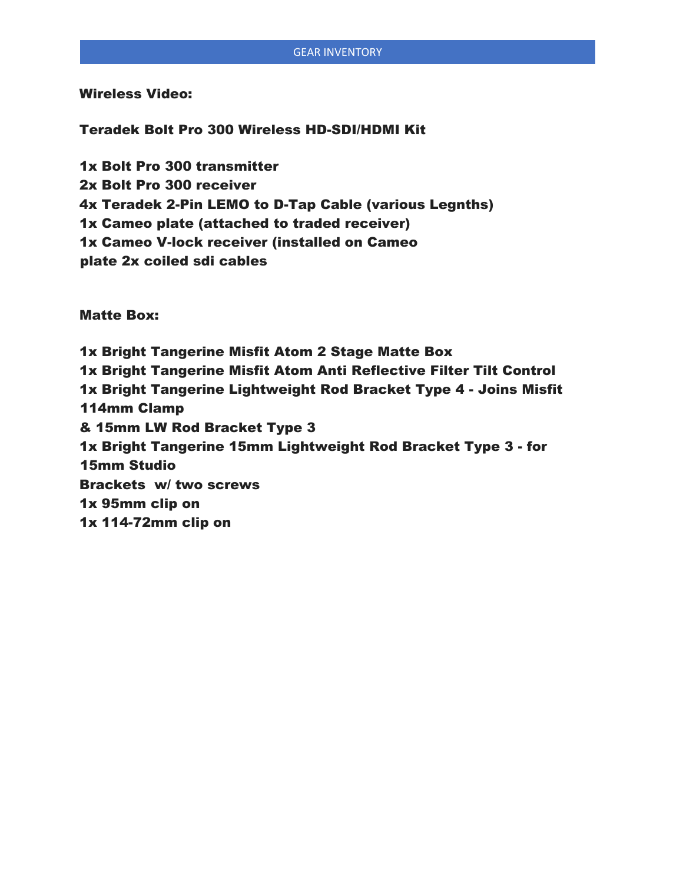Wireless Video:

Teradek Bolt Pro 300 Wireless HD-SDI/HDMI Kit

1x Bolt Pro 300 transmitter 2x Bolt Pro 300 receiver 4x Teradek 2-Pin LEMO to D-Tap Cable (various Legnths) 1x Cameo plate (attached to traded receiver) 1x Cameo V-lock receiver (installed on Cameo plate 2x coiled sdi cables

Matte Box:

1x Bright Tangerine Misfit Atom 2 Stage Matte Box 1x Bright Tangerine Misfit Atom Anti Reflective Filter Tilt Control 1x Bright Tangerine Lightweight Rod Bracket Type 4 - Joins Misfit 114mm Clamp & 15mm LW Rod Bracket Type 3 1x Bright Tangerine 15mm Lightweight Rod Bracket Type 3 - for 15mm Studio Brackets w/ two screws 1x 95mm clip on 1x 114-72mm clip on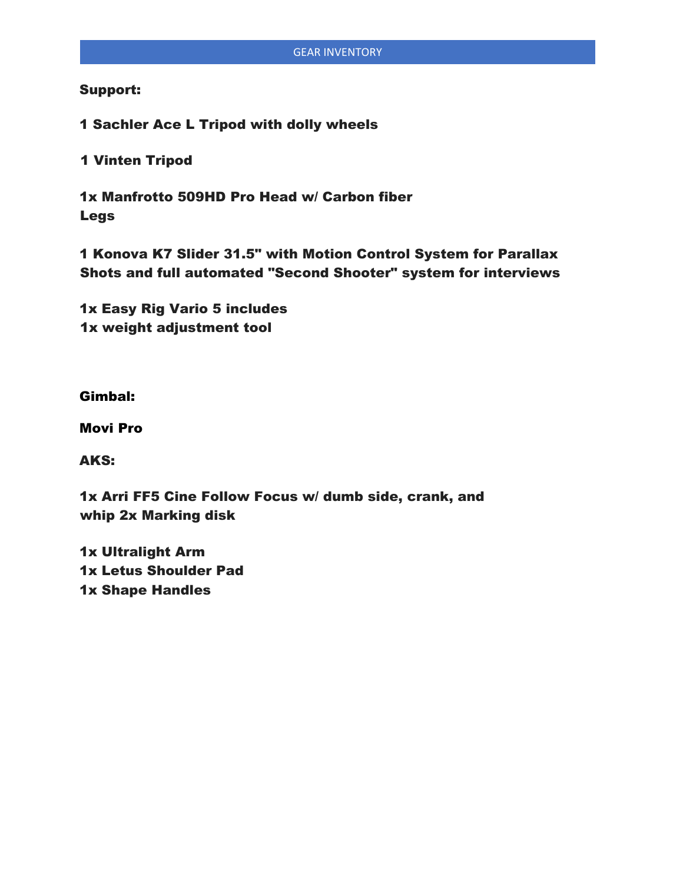# Support:

1 Sachler Ace L Tripod with dolly wheels

1 Vinten Tripod

1x Manfrotto 509HD Pro Head w/ Carbon fiber Legs

1 Konova K7 Slider 31.5" with Motion Control System for Parallax Shots and full automated "Second Shooter" system for interviews

1x Easy Rig Vario 5 includes 1x weight adjustment tool

# Gimbal:

Movi Pro

AKS:

1x Arri FF5 Cine Follow Focus w/ dumb side, crank, and whip 2x Marking disk

1x Ultralight Arm 1x Letus Shoulder Pad 1x Shape Handles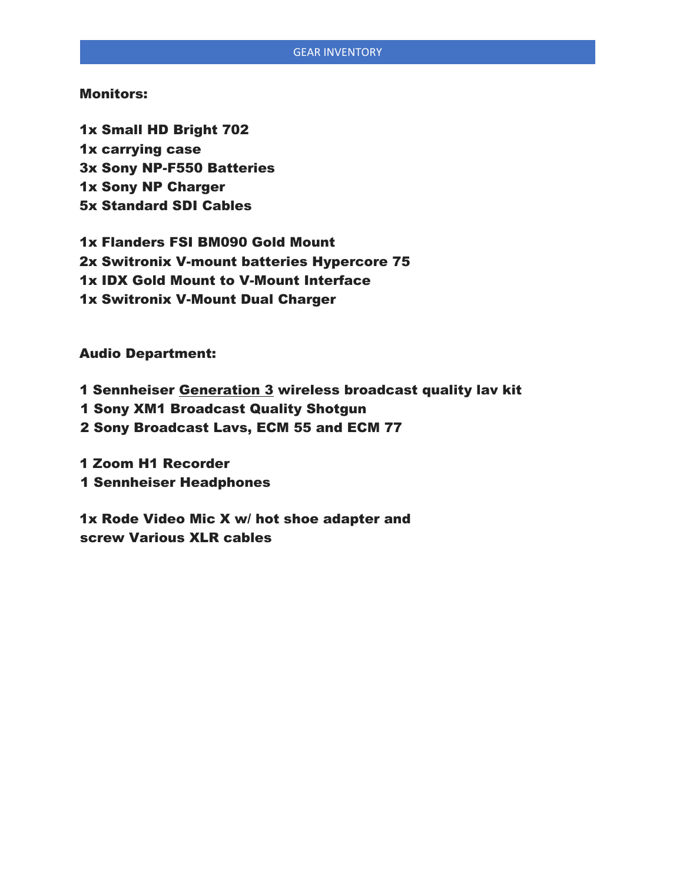# Monitors:

1x Small HD Bright 702 1x carrying case 3x Sony NP-F550 Batteries 1x Sony NP Charger 5x Standard SDI Cables

1x Flanders FSI BM090 Gold Mount 2x Switronix V-mount batteries Hypercore 75 1x IDX Gold Mount to V-Mount Interface 1x Switronix V-Mount Dual Charger

Audio Department:

1 Sennheiser Generation 3 wireless broadcast quality lav kit

1 Sony XM1 Broadcast Quality Shotgun

2 Sony Broadcast Lavs, ECM 55 and ECM 77

1 Zoom H1 Recorder 1 Sennheiser Headphones

1x Rode Video Mic X w/ hot shoe adapter and screw Various XLR cables